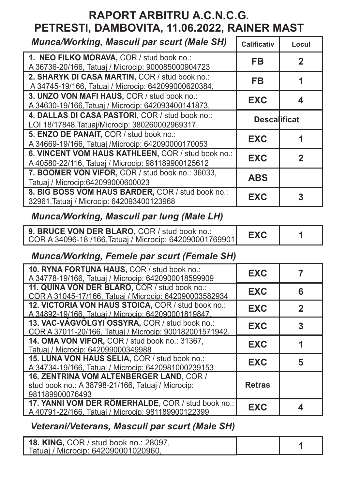# **RAPORT ARBITRU A.C.N.C.G. PETRESTI, DAMBOVITA, 11.06.2022, RAINER MAST**

| <b>Munca/Working, Masculi par scurt (Male SH)</b>                                                        | <b>Calificativ</b>  | Locul       |
|----------------------------------------------------------------------------------------------------------|---------------------|-------------|
| 1. NEO FILKO MORAVA, COR / stud book no.:<br>A 36736-20/166, Tatuaj / Microcip: 900085000904723          | <b>FB</b>           | $\mathbf 2$ |
| 2. SHARYK DI CASA MARTIN, COR / stud book no.:<br>A 34745-19/166, Tatuaj / Microcip: 642099000620384,    | <b>FB</b>           |             |
| 3. UNZO VON MAFI HAUS, COR / stud book no.:<br>A 34630-19/166, Tatuaj / Microcip: 642093400141873,       | <b>EXC</b>          |             |
| 4. DALLAS DI CASA PASTORI, COR / stud book no.:<br>LOI 18/17848, Tatuaj/Microcip: 380260002969317,       | <b>Descalificat</b> |             |
| 5. ENZO DE PANAIT, COR / stud book no.:<br>A 34669-19/166, Tatuaj /Microcip: 642090000170053             | <b>EXC</b>          |             |
| 6. VINCENT VOM HAUS KATHLEEN, COR / stud book no.:<br>A 40580-22/116, Tatuaj / Microcip: 981189900125612 | <b>EXC</b>          | 2           |
| 7. BOOMER VON VIFOR, COR / stud book no.: 36033,<br>Tatuaj / Microcip: 642099000600023                   | <b>ABS</b>          |             |
| 8. BIG BOSS VOM HAUS BARDER, COR / stud book no.:<br>32961, Tatuaj / Microcip: 642093400123968           | <b>EXC</b>          |             |

## *Munca/Working, Masculi par lung (Male LH)*

| 9. BRUCE VON DER BLARO, COR / stud book no.:            | <b>EXC</b> |  |
|---------------------------------------------------------|------------|--|
| COR A 34096-18 /166, Tatuaj / Microcip: 642090001769901 |            |  |

# *Munca/Working, Femele par scurt (Female SH)*

| 10. RYNA FORTUNA HAUS, COR / stud book no.:<br>A 34778-19/166, Tatuaj / Microcip: 6420900018599909               | <b>EXC</b>    |   |
|------------------------------------------------------------------------------------------------------------------|---------------|---|
| 11. QUINA VON DER BLARO, COR / stud book no.:<br>COR A 31045-17/166, Tatuaj / Microcip: 642090003582934          | <b>EXC</b>    | 6 |
| 12. VICTORIA VON HAUS STOICA, COR / stud book no.:<br>A 34892-19/166. Tatuai / Microcip: 642090001819847.        | <b>EXC</b>    | 2 |
| 13. VAC-VÁGVÖLGYI OSSYRA, COR / stud book no.:<br>COR A 37011-20/166. Tatuai / Microcip: 900182001571942.        | <b>EXC</b>    |   |
| 14. OMA VON VIFOR, COR / stud book no.: 31367,<br>Tatuaj / Microcip: 642099000349988                             | <b>EXC</b>    |   |
| 15. LUNA VON HAUS SELIA, COR / stud book no.:<br>A 34734-19/166, Tatuaj / Microcip: 6420981000239153             | <b>EXC</b>    | 5 |
| 16. ZENTRINA VOM ALTENBERGER LAND, COR /<br>stud book no.: A 38798-21/166, Tatuaj / Microcip:<br>981189900076493 | <b>Retras</b> |   |
| 17. YANNI VOM DER RÖMERHALDE, COR / stud book no.:<br>A 40791-22/166, Tatuaj / Microcip: 981189900122399         | <b>EXC</b>    |   |

### *Veterani/Veterans, Masculi par scurt (Male SH)*

| <b>18. KING, COR / stud book no.: 28097,</b><br>Tatuaj / Microcip: 642090001020960, |  |  |
|-------------------------------------------------------------------------------------|--|--|
|-------------------------------------------------------------------------------------|--|--|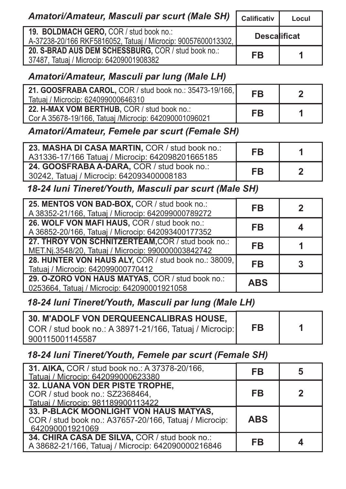| <b>Amatori/Amateur, Masculi par scurt (Male SH)</b>                                                      | <b>Calificativ</b>  | Locul |
|----------------------------------------------------------------------------------------------------------|---------------------|-------|
| 19. BOLDMACH GERO, COR / stud book no.:<br>A-37238-20/166 RKF5816052, Tatuaj / Microcip: 90057600013302, | <b>Descalificat</b> |       |
| 20. S-BRAD AUS DEM SCHESSBURG, COR / stud book no.:<br>37487, Tatuaj / Microcip: 64209001908382          | <b>FB</b>           |       |

#### *Amatori/Amateur, Masculi par lung (Male LH)*

| 21. GOOSFRABA CAROL, COR / stud book no.: 35473-19/166,<br>Tatuaj / Microcip: 624099000646310        | <b>FB</b> |  |
|------------------------------------------------------------------------------------------------------|-----------|--|
| 22. H-MAX VOM BERTHUB, COR / stud book no.:<br>Cor A 35678-19/166, Tatuaj /Microcip: 642090001096021 | <b>FB</b> |  |

#### *Amatori/Amateur, Femele par scurt (Female SH)*

| 23. MASHA DI CASA MARTIN, COR / stud book no.:<br>A31336-17/166 Tatuaj / Microcip: 642098201665185 | <b>FB</b> |  |
|----------------------------------------------------------------------------------------------------|-----------|--|
| 24. GOOSFRABA A-DARA, COR / stud book no.:<br>30242, Tatuaj / Microcip: 642093400008183            | <b>FB</b> |  |

#### *18-24 luni Tineret/Youth, Masculi par scurt (Male SH)*

| 25. MENTOS VON BAD-BOX, COR / stud book no.:<br>A 38352-21/166, Tatuaj / Microcip: 642099000789272      | FB         |  |
|---------------------------------------------------------------------------------------------------------|------------|--|
| 26. WOLF VON MAFI HAUS, COR / stud book no.:<br>A 36852-20/166, Tatuaj / Microcip: 642093400177352      | FB         |  |
| 27. THROY VON SCHNITZERTEAM, COR / stud book no.:<br>MET.Nj.3548/20, Tatuaj / Microcip: 990000003842742 | FB         |  |
| 28. HUNTER VON HAUS ALY, COR / stud book no.: 38009,<br>Tatuaj / Microcip: 642099000770412              | FB         |  |
| 29. O-ZORO VON HAUS MATYAS, COR / stud book no.:<br>0253664, Tatuaj / Microcip: 642090001921058         | <b>ABS</b> |  |

#### *18-24 luni Tineret/Youth, Masculi par lung (Male LH)*

| <b>30. M'ADOLF VON DERQUEENCALIBRAS HOUSE,</b>          |           |  |
|---------------------------------------------------------|-----------|--|
| COR / stud book no.: A 38971-21/166, Tatuaj / Microcip: | <b>FB</b> |  |
| 900115001145587                                         |           |  |

#### *18-24 luni Tineret/Youth, Femele par scurt (Female SH)*

| 31. AIKA, COR / stud book no.: A 37378-20/166,<br>Tatuai / Microcip: 642099000623380                                | FB         |  |
|---------------------------------------------------------------------------------------------------------------------|------------|--|
| 32. LUANA VON DER PISTE TROPHE,<br>COR / stud book no.: SZ2368464,<br>Tatuai / Microcip: 981189900113422            | <b>FB</b>  |  |
| 33. P-BLACK MOONLIGHT VON HAUS MATYAS,<br>COR / stud book no.: A37657-20/166, Tatuaj / Microcip:<br>642090001921069 | <b>ABS</b> |  |
| 34. CHIRA CASA DE SILVA, COR / stud book no.:<br>A 38682-21/166, Tatuaj / Microcip: 642090000216846                 | FB         |  |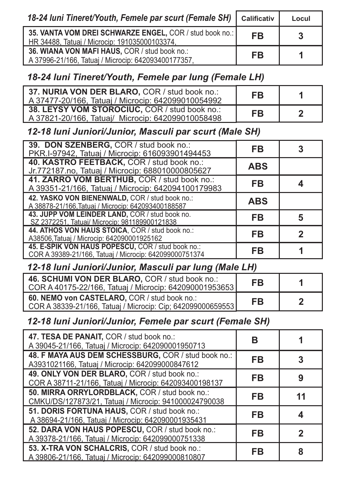| 18-24 Iuni Tineret/Youth, Femele par scurt (Female SH)                                                     | <b>Calificativ</b> | Locul          |
|------------------------------------------------------------------------------------------------------------|--------------------|----------------|
| 35. VANTA VOM DREI SCHWARZE ENGEL, COR / stud book no.:  <br>HR 34488, Tatuaj / Microcip: 191035000103374, | <b>FB</b>          | 3 <sup>1</sup> |
| 36. WIANA VON MAFI HAUS, COR / stud book no.:<br>A 37996-21/166, Tatuaj / Microcip: 642093400177357,       | <b>FB</b>          |                |

#### *18-24 luni Tineret/Youth, Femele par lung (Female LH)*

| 37. NURIA VON DER BLARO, COR / stud book no.:<br>A 37477-20/166, Tatuaj / Microcip: 642099010054992 | FB        |  |
|-----------------------------------------------------------------------------------------------------|-----------|--|
| 38. LEYSY VOM STOROCIUC, COR / stud book no.:<br>A 37821-20/166, Tatuaj/ Microcip: 642099010058498  | <b>FB</b> |  |

#### *12-18 luni Juniori/Junior, Masculi par scurt (Male SH)*

| 39. DON SZENBERG, COR / stud book no.:<br>PKR.I-97942, Tatuaj / Microcip: 616093901494453                   | FB         |   |
|-------------------------------------------------------------------------------------------------------------|------------|---|
| 40. KASTRO FEETBACK, COR / stud book no.:<br>Jr.772187.no, Tatuaj / Microcip: 688010000805627               | <b>ABS</b> |   |
| 41. ZARRO VOM BERTHUB, COR / stud book no.:<br>A 39351-21/166, Tatuaj / Microcip: 642094100179983           | <b>FB</b>  |   |
| 42. YASKO VON BIENENWALD, COR / stud book no.:<br>A 38878-21/166, Tatuaj / Microcip: 642093400188587        | <b>ABS</b> |   |
| 43. JUPP VOM LEINDER LAND, COR / stud book no.<br>SZ 2372251, Tatuai/ Microcip: 981189900121838             | <b>FB</b>  | 5 |
| 44. ATHOS VON HAUS STOICA, COR / stud book no.:<br>A38506, Tatuaj / Microcip: 642090001925162               | <b>FB</b>  |   |
| 45. E-SPIK VON HAUS POPESCU, COR / stud book no.:<br>COR A 39389-21/166, Tatuaj / Microcip: 642099000751374 | FB         |   |

#### *12-18 luni Juniori/Junior, Masculi par lung (Male LH)*

| 46. SCHUMI VON DER BLARO, COR / stud book no.:<br>COR A 40175-22/166, Tatuaj / Microcip: 642090001953653    | <b>FB</b> |  |
|-------------------------------------------------------------------------------------------------------------|-----------|--|
| 60. NEMO von CASTELARO, COR / stud book no.:<br>COR A 38339-21/166, Tatuaj / Microcip: Cip; 642099000659553 | FB        |  |

#### *12-18 luni Juniori/Junior, Femele par scurt (Female SH)*

| 47. TESA DE PANAIT, COR / stud book no.:<br>A 39045-21/166, Tatuaj / Microcip: 642090001950713         |           |  |
|--------------------------------------------------------------------------------------------------------|-----------|--|
| 48. F MAYA AUS DEM SCHESSBURG, COR / stud book no.:<br>A3931021166, Tatuaj / Microcip: 642099000847612 | <b>FB</b> |  |
| 49. ONLY VON DER BLARO, COR / stud book no.:<br>COR A 38711-21/166, Tatuaj / Microcip: 642093400198137 | <b>FB</b> |  |
| 50. MIRRA ORRYLORDBLACK, COR / stud book no.:<br>CMKU/DS/127873/21, Tatuaj / Microcip: 941000024790038 | FB        |  |
| 51. DORIS FORTUNA HAUS, COR / stud book no.:<br>A 38694-21/166, Tatuaj / Microcip: 642090001935431     | FB        |  |
| 52. DARA VON HAUS POPESCU, COR / stud book no.:<br>A 39378-21/166, Tatuaj / Microcip: 642099000751338  | FB        |  |
| 53. X-TRA VON SCHALCRIS, COR / stud book no.:<br>A 39806-21/166, Tatuai / Microcip: 642099000810807    | FB        |  |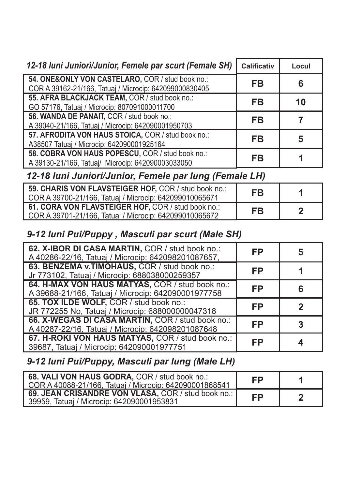| 12-18 Iuni Juniori/Junior, Femele par scurt (Female SH)                                                    | <b>Calificativ</b> | Locul |
|------------------------------------------------------------------------------------------------------------|--------------------|-------|
| 54. ONE&ONLY VON CASTELARO, COR / stud book no.:<br>COR A 39162-21/166, Tatuaj / Microcip: 642099000830405 | <b>FB</b>          | 6     |
| 55. AFRA BLACKJACK TEAM, COR / stud book no.:<br>GO 57176, Tatuaj / Microcip: 807091000011700              | FB                 | 10    |
| 56. WANDA DE PANAIT, COR / stud book no.:<br>A 39040-21/166, Tatuaj / Microcip: 642090001950703            | FB                 |       |
| 57. AFRODITA VON HAUS STOICA, COR / stud book no.:<br>A38507 Tatuaj / Microcip: 642090001925164            | <b>FB</b>          | 5     |
| 58. COBRA VON HAUS POPESCU, COR / stud book no.:<br>A 39130-21/166, Tatuaj/ Microcip: 642090003033050      | <b>FB</b>          |       |

## *12-18 luni Juniori/Junior, Femele par lung (Female LH)*

| 59. CHARIS VON FLAVSTEIGER HOF, COR / stud book no.:<br>COR A 39700-21/166, Tatuaj / Microcip: 642099010065671 | <b>FB</b> |  |
|----------------------------------------------------------------------------------------------------------------|-----------|--|
| 61. CORA VON FLAVSTEIGER HOF, COR / stud book no.:<br>COR A 39701-21/166, Tatuaj / Microcip: 642099010065672   | <b>FB</b> |  |

#### *9-12 luni Pui/Puppy , Masculi par scurt (Male SH)*

| 62. X-IBOR DI CASA MARTIN, COR / stud book no.:<br>A 40286-22/16, Tatuaj / Microcip: 642098201087657, | FP        |  |
|-------------------------------------------------------------------------------------------------------|-----------|--|
| 63. BENZEMA v.TIMOHAUS, COR / stud book no.:<br>Jr 773102, Tatuaj / Microcip: 688038000259357         | FP        |  |
| 64. H-MAX VON HAUS MATYAS, COR / stud book no.:<br>A 39688-21/166, Tatuaj / Microcip: 642090001977758 | <b>FP</b> |  |
| 65. TOX ILDE WOLF, COR / stud book no.:<br>JR 772255 No, Tatuaj / Microcip: 688000000047318           | FP        |  |
| 66. X-WEGAS DI CASA MARTIN, COR / stud book no.:<br>A 40287-22/16, Tatuaj / Microcip: 642098201087648 | FP        |  |
| 67. H-ROKI VON HAUS MATYAS, COR / stud book no.:<br>39687, Tatuaj / Microcip: 642090001977751         | FP        |  |

# *9-12 luni Pui/Puppy, Masculi par lung (Male LH)*

| 68. VALI VON HAUS GODRA, COR / stud book no.:<br>COR A 40088-21/166, Tatuai / Microcip: 642090001868541 | FP        |  |
|---------------------------------------------------------------------------------------------------------|-----------|--|
| 69. JEAN CRISANDRE VON VLASA, COR / stud book no.:  <br>39959, Tatuaj / Microcip: 642090001953831       | <b>FP</b> |  |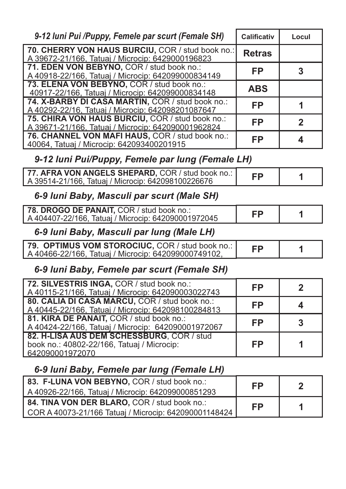| 9-12 Iuni Pui /Puppy, Femele par scurt (Female SH)                                                         | <b>Calificativ</b> | Locul            |
|------------------------------------------------------------------------------------------------------------|--------------------|------------------|
| 70. CHERRY VON HAUS BURCIU, COR / stud book no.:<br>A 39672-21/166, Tatuaj / Microcip: 6429000196823       | <b>Retras</b>      |                  |
| 71. EDEN VON BEBYNO, COR / stud book no.:<br>A 40918-22/166, Tatuaj / Microcip: 642099000834149            | <b>FP</b>          | 3                |
| 73. ELENA VON BEBYNO, COR / stud book no.:<br>40917-22/166, Tatuaj / Microcip: 642099000834148             | <b>ABS</b>         |                  |
| 74. X-BARBY DI CASA MARTIN, COR / stud book no.:<br>A 40292-22/16, Tatuaj / Microcip: 642098201087647      | <b>FP</b>          | 1                |
| 75. CHIRA VON HAUS BURCIU, COR / stud book no.:<br>A 39671-21/166, Tatuai / Microcip: 642090001962824      | <b>FP</b>          | $\overline{2}$   |
| 76. CHANNEL VON MAFI HAUS, COR / stud book no.:<br>40064, Tatuaj / Microcip: 642093400201915               | FP                 | $\boldsymbol{4}$ |
| 9-12 Iuni Pui/Puppy, Femele par lung (Female LH)                                                           |                    |                  |
| 77. AFRA VON ANGELS SHEPARD, COR / stud book no.:<br>A 39514-21/166, Tatuaj / Microcip: 642098100226676    | <b>FP</b>          |                  |
| 6-9 Iuni Baby, Masculi par scurt (Male SH)                                                                 |                    |                  |
| 78. DROGO DE PANAIT, COR / stud book no.:<br>A 404407-22/166, Tatuaj / Microcip: 642090001972045           | FP                 |                  |
| 6-9 luni Baby, Masculi par lung (Male LH)                                                                  |                    |                  |
| 79. OPTIMUS VOM STOROCIUC, COR / stud book no.:<br>A 40466-22/166, Tatuaj / Microcip: 642099000749102,     | <b>FP</b>          |                  |
| 6-9 Iuni Baby, Femele par scurt (Female SH)                                                                |                    |                  |
| 72. SILVESTRIS INGA, COR / stud book no.:<br>A 40115-21/166, Tatuaj / Microcip: 642090003022743            | FP                 | $\mathbf 2$      |
| 80. CALIA DI CASA MARCU, COR / stud book no.:<br>A 40445-22/166, Tatuaj / Microcip: 642098100284813        | <b>FP</b>          | 4                |
| 81. KIRA DE PANAIT, COR / stud book no.:<br>A 40424-22/166, Tatuaj / Microcip: 642090001972067             | <b>FP</b>          | 3                |
| 82. H-LISA AUS DEM SCHESSBURG, COR / stud<br>book no.: 40802-22/166, Tatuaj / Microcip:<br>642090001972070 | FP                 |                  |
| 6-9 Iuni Baby, Femele par lung (Female LH)<br><b>I HALA MON DEDVAIO</b> COD Letted base                    |                    |                  |

| 83. F-LUNA VON BEBYNO, COR / stud book no.:<br>A 40926-22/166, Tatuaj / Microcip: 642099000851293     | <b>FP</b> |  |
|-------------------------------------------------------------------------------------------------------|-----------|--|
| 84. TINA VON DER BLARO, COR / stud book no.:<br>COR A 40073-21/166 Tatuaj / Microcip: 642090001148424 | FP        |  |